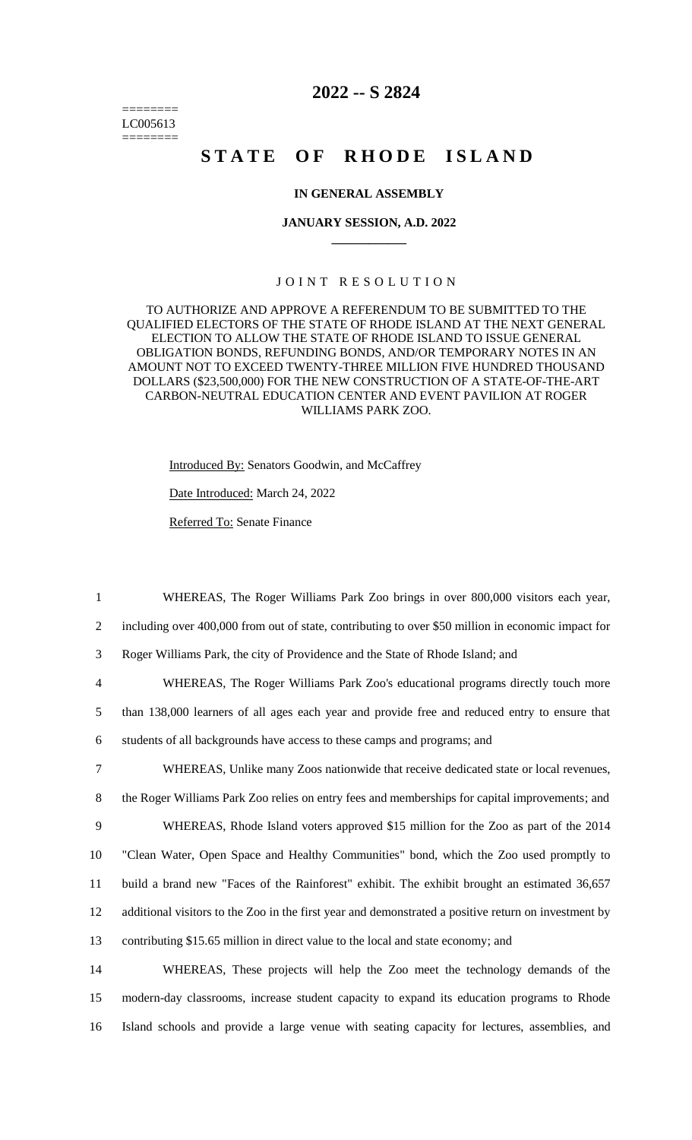======== LC005613 ========

# **2022 -- S 2824**

# STATE OF RHODE ISLAND

#### **IN GENERAL ASSEMBLY**

#### **JANUARY SESSION, A.D. 2022 \_\_\_\_\_\_\_\_\_\_\_\_**

#### JOINT RESOLUTION

TO AUTHORIZE AND APPROVE A REFERENDUM TO BE SUBMITTED TO THE QUALIFIED ELECTORS OF THE STATE OF RHODE ISLAND AT THE NEXT GENERAL ELECTION TO ALLOW THE STATE OF RHODE ISLAND TO ISSUE GENERAL OBLIGATION BONDS, REFUNDING BONDS, AND/OR TEMPORARY NOTES IN AN AMOUNT NOT TO EXCEED TWENTY-THREE MILLION FIVE HUNDRED THOUSAND DOLLARS (\$23,500,000) FOR THE NEW CONSTRUCTION OF A STATE-OF-THE-ART CARBON-NEUTRAL EDUCATION CENTER AND EVENT PAVILION AT ROGER WILLIAMS PARK ZOO.

Introduced By: Senators Goodwin, and McCaffrey Date Introduced: March 24, 2022 Referred To: Senate Finance

1 WHEREAS, The Roger Williams Park Zoo brings in over 800,000 visitors each year,

2 including over 400,000 from out of state, contributing to over \$50 million in economic impact for

3 Roger Williams Park, the city of Providence and the State of Rhode Island; and

4 WHEREAS, The Roger Williams Park Zoo's educational programs directly touch more

5 than 138,000 learners of all ages each year and provide free and reduced entry to ensure that

6 students of all backgrounds have access to these camps and programs; and

 WHEREAS, Unlike many Zoos nationwide that receive dedicated state or local revenues, the Roger Williams Park Zoo relies on entry fees and memberships for capital improvements; and WHEREAS, Rhode Island voters approved \$15 million for the Zoo as part of the 2014 "Clean Water, Open Space and Healthy Communities" bond, which the Zoo used promptly to build a brand new "Faces of the Rainforest" exhibit. The exhibit brought an estimated 36,657 additional visitors to the Zoo in the first year and demonstrated a positive return on investment by contributing \$15.65 million in direct value to the local and state economy; and

14 WHEREAS, These projects will help the Zoo meet the technology demands of the 15 modern-day classrooms, increase student capacity to expand its education programs to Rhode 16 Island schools and provide a large venue with seating capacity for lectures, assemblies, and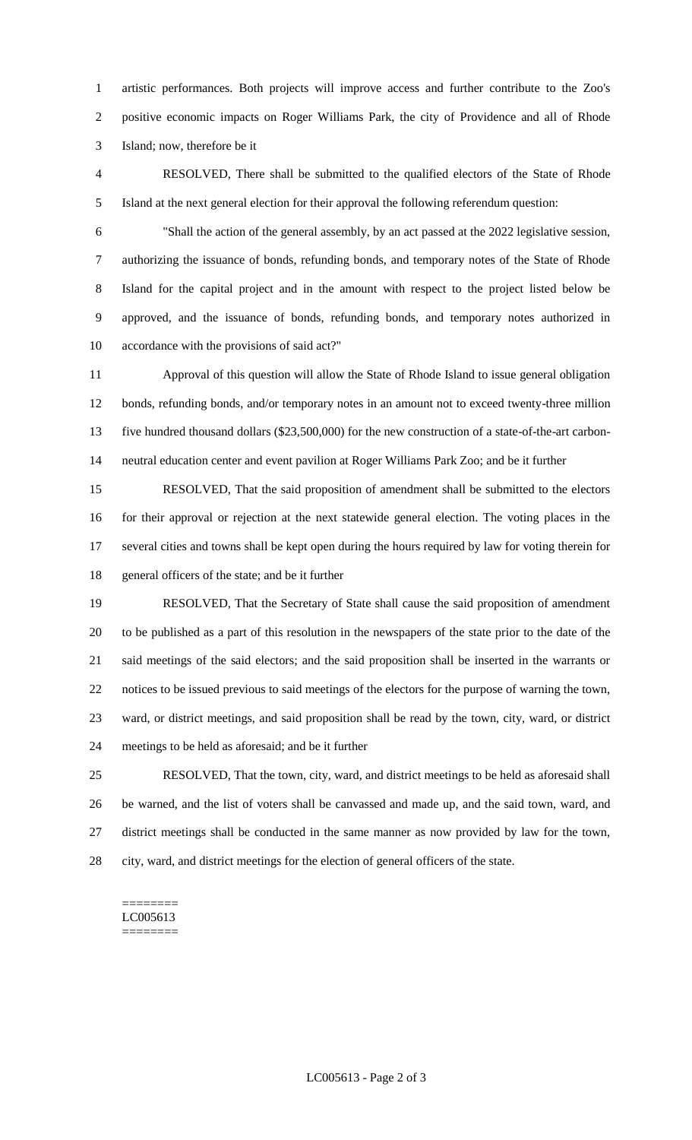artistic performances. Both projects will improve access and further contribute to the Zoo's positive economic impacts on Roger Williams Park, the city of Providence and all of Rhode Island; now, therefore be it

 RESOLVED, There shall be submitted to the qualified electors of the State of Rhode Island at the next general election for their approval the following referendum question:

 "Shall the action of the general assembly, by an act passed at the 2022 legislative session, authorizing the issuance of bonds, refunding bonds, and temporary notes of the State of Rhode Island for the capital project and in the amount with respect to the project listed below be approved, and the issuance of bonds, refunding bonds, and temporary notes authorized in accordance with the provisions of said act?"

 Approval of this question will allow the State of Rhode Island to issue general obligation bonds, refunding bonds, and/or temporary notes in an amount not to exceed twenty-three million five hundred thousand dollars (\$23,500,000) for the new construction of a state-of-the-art carbon-neutral education center and event pavilion at Roger Williams Park Zoo; and be it further

 RESOLVED, That the said proposition of amendment shall be submitted to the electors for their approval or rejection at the next statewide general election. The voting places in the several cities and towns shall be kept open during the hours required by law for voting therein for general officers of the state; and be it further

 RESOLVED, That the Secretary of State shall cause the said proposition of amendment to be published as a part of this resolution in the newspapers of the state prior to the date of the said meetings of the said electors; and the said proposition shall be inserted in the warrants or notices to be issued previous to said meetings of the electors for the purpose of warning the town, ward, or district meetings, and said proposition shall be read by the town, city, ward, or district meetings to be held as aforesaid; and be it further

 RESOLVED, That the town, city, ward, and district meetings to be held as aforesaid shall be warned, and the list of voters shall be canvassed and made up, and the said town, ward, and district meetings shall be conducted in the same manner as now provided by law for the town, city, ward, and district meetings for the election of general officers of the state.

======== LC005613 ========